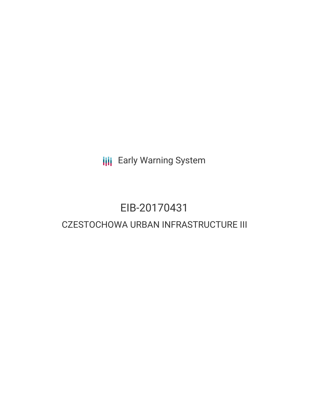**III** Early Warning System

# EIB-20170431

# CZESTOCHOWA URBAN INFRASTRUCTURE III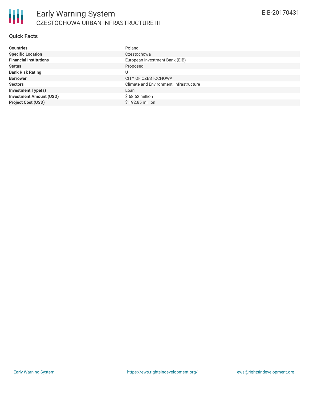

## **Quick Facts**

| <b>Countries</b>               | Poland                                  |
|--------------------------------|-----------------------------------------|
| <b>Specific Location</b>       | Czestochowa                             |
| <b>Financial Institutions</b>  | European Investment Bank (EIB)          |
| <b>Status</b>                  | Proposed                                |
| <b>Bank Risk Rating</b>        | U                                       |
| <b>Borrower</b>                | CITY OF CZESTOCHOWA                     |
| <b>Sectors</b>                 | Climate and Environment, Infrastructure |
| <b>Investment Type(s)</b>      | Loan                                    |
| <b>Investment Amount (USD)</b> | $$68.62$ million                        |
| <b>Project Cost (USD)</b>      | \$192.85 million                        |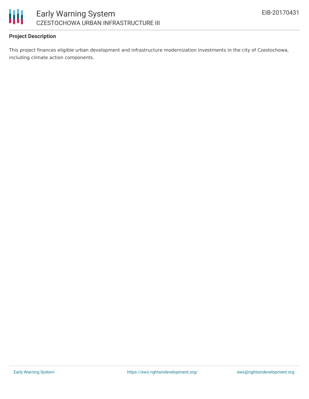

## **Project Description**

This project finances eligible urban development and infrastructure modernization investments in the city of Czestochowa, including climate action components.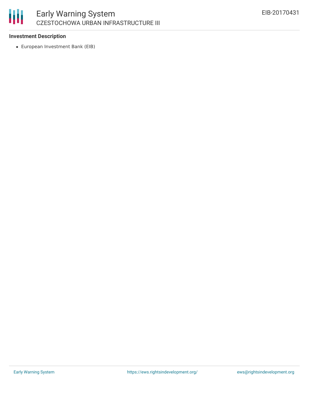# 冊

# Early Warning System CZESTOCHOWA URBAN INFRASTRUCTURE III

## **Investment Description**

European Investment Bank (EIB)